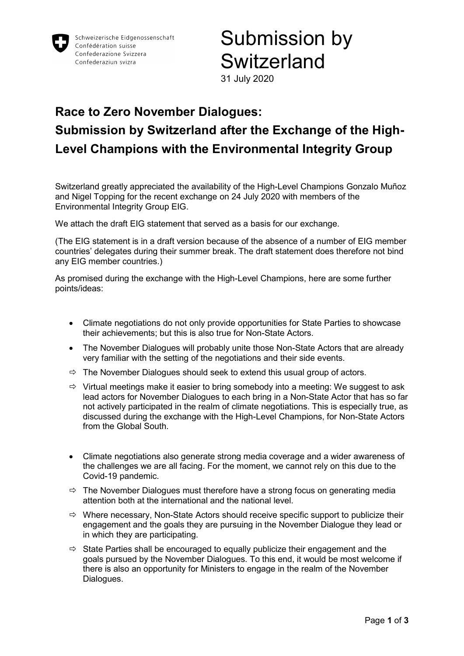

# Submission by **Switzerland**

31 July 2020

#### Race to Zero November Dialogues: Submission by Switzerland after the Exchange of the High-Level Champions with the Environmental Integrity Group

Switzerland greatly appreciated the availability of the High-Level Champions Gonzalo Muñoz and Nigel Topping for the recent exchange on 24 July 2020 with members of the Environmental Integrity Group EIG.

We attach the draft EIG statement that served as a basis for our exchange.

(The EIG statement is in a draft version because of the absence of a number of EIG member countries' delegates during their summer break. The draft statement does therefore not bind any EIG member countries.)

As promised during the exchange with the High-Level Champions, here are some further points/ideas:

- Climate negotiations do not only provide opportunities for State Parties to showcase their achievements; but this is also true for Non-State Actors.
- The November Dialogues will probably unite those Non-State Actors that are already very familiar with the setting of the negotiations and their side events.
- $\Rightarrow$  The November Dialogues should seek to extend this usual group of actors.
- $\Rightarrow$  Virtual meetings make it easier to bring somebody into a meeting: We suggest to ask lead actors for November Dialogues to each bring in a Non-State Actor that has so far not actively participated in the realm of climate negotiations. This is especially true, as discussed during the exchange with the High-Level Champions, for Non-State Actors from the Global South.
- Climate negotiations also generate strong media coverage and a wider awareness of the challenges we are all facing. For the moment, we cannot rely on this due to the Covid-19 pandemic.
- $\Rightarrow$  The November Dialogues must therefore have a strong focus on generating media attention both at the international and the national level.
- $\Rightarrow$  Where necessary, Non-State Actors should receive specific support to publicize their engagement and the goals they are pursuing in the November Dialogue they lead or in which they are participating.
- $\Rightarrow$  State Parties shall be encouraged to equally publicize their engagement and the goals pursued by the November Dialogues. To this end, it would be most welcome if there is also an opportunity for Ministers to engage in the realm of the November Dialogues.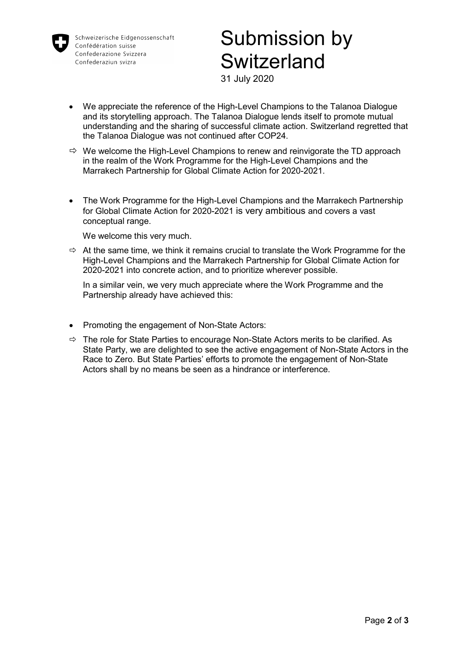

Schweizerische Eidgenossenschaft Confédération suisse Confederazione Svizzera Confederaziun svizra

# Submission by **Switzerland**

31 July 2020

- We appreciate the reference of the High-Level Champions to the Talanoa Dialogue and its storytelling approach. The Talanoa Dialogue lends itself to promote mutual understanding and the sharing of successful climate action. Switzerland regretted that the Talanoa Dialogue was not continued after COP24.
- $\Rightarrow$  We welcome the High-Level Champions to renew and reinvigorate the TD approach in the realm of the Work Programme for the High-Level Champions and the Marrakech Partnership for Global Climate Action for 2020-2021.
- The Work Programme for the High-Level Champions and the Marrakech Partnership for Global Climate Action for 2020-2021 is very ambitious and covers a vast conceptual range.

We welcome this very much.

 $\Rightarrow$  At the same time, we think it remains crucial to translate the Work Programme for the High-Level Champions and the Marrakech Partnership for Global Climate Action for 2020-2021 into concrete action, and to prioritize wherever possible.

In a similar vein, we very much appreciate where the Work Programme and the Partnership already have achieved this:

- Promoting the engagement of Non-State Actors:
- $\Rightarrow$  The role for State Parties to encourage Non-State Actors merits to be clarified. As State Party, we are delighted to see the active engagement of Non-State Actors in the Race to Zero. But State Parties' efforts to promote the engagement of Non-State Actors shall by no means be seen as a hindrance or interference.